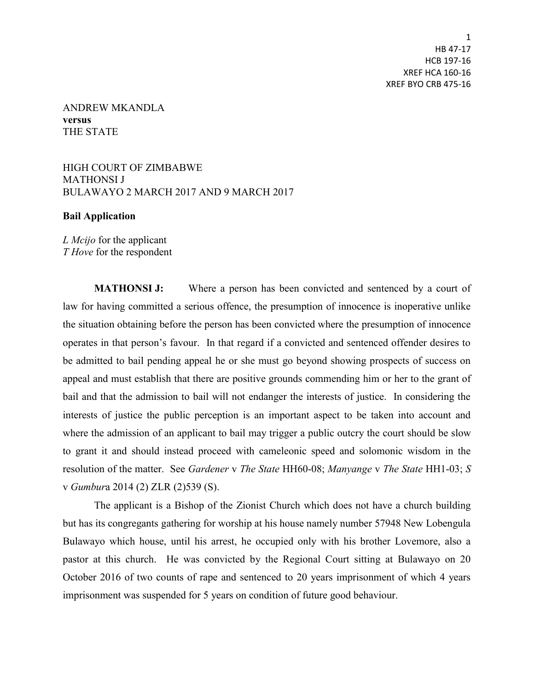1 HB 47-17 HCB 197-16 XREF HCA 160-16 XREF BYO CRB 475-16

## ANDREW MKANDLA **versus** THE STATE

HIGH COURT OF ZIMBABWE MATHONSI J BULAWAYO 2 MARCH 2017 AND 9 MARCH 2017

## **Bail Application**

*L Mcijo* for the applicant *T Hove* for the respondent

**MATHONSI J:** Where a person has been convicted and sentenced by a court of law for having committed a serious offence, the presumption of innocence is inoperative unlike the situation obtaining before the person has been convicted where the presumption of innocence operates in that person's favour. In that regard if a convicted and sentenced offender desires to be admitted to bail pending appeal he or she must go beyond showing prospects of success on appeal and must establish that there are positive grounds commending him or her to the grant of bail and that the admission to bail will not endanger the interests of justice. In considering the interests of justice the public perception is an important aspect to be taken into account and where the admission of an applicant to bail may trigger a public outcry the court should be slow to grant it and should instead proceed with cameleonic speed and solomonic wisdom in the resolution of the matter. See *Gardener* v *The State* HH60-08; *Manyange* v *The State* HH1-03; *S* v *Gumbur*a 2014 (2) ZLR (2)539 (S).

The applicant is a Bishop of the Zionist Church which does not have a church building but has its congregants gathering for worship at his house namely number 57948 New Lobengula Bulawayo which house, until his arrest, he occupied only with his brother Lovemore, also a pastor at this church. He was convicted by the Regional Court sitting at Bulawayo on 20 October 2016 of two counts of rape and sentenced to 20 years imprisonment of which 4 years imprisonment was suspended for 5 years on condition of future good behaviour.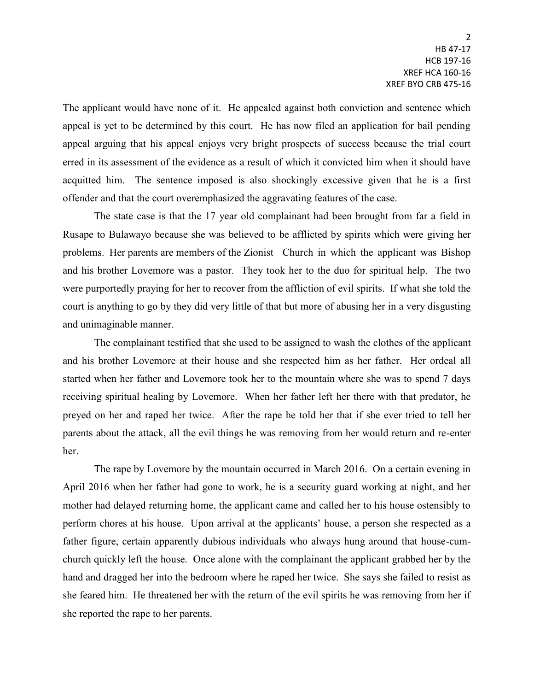The applicant would have none of it. He appealed against both conviction and sentence which appeal is yet to be determined by this court. He has now filed an application for bail pending appeal arguing that his appeal enjoys very bright prospects of success because the trial court erred in its assessment of the evidence as a result of which it convicted him when it should have acquitted him. The sentence imposed is also shockingly excessive given that he is a first offender and that the court overemphasized the aggravating features of the case.

The state case is that the 17 year old complainant had been brought from far a field in Rusape to Bulawayo because she was believed to be afflicted by spirits which were giving her problems. Her parents are members of the Zionist Church in which the applicant was Bishop and his brother Lovemore was a pastor. They took her to the duo for spiritual help. The two were purportedly praying for her to recover from the affliction of evil spirits. If what she told the court is anything to go by they did very little of that but more of abusing her in a very disgusting and unimaginable manner.

The complainant testified that she used to be assigned to wash the clothes of the applicant and his brother Lovemore at their house and she respected him as her father. Her ordeal all started when her father and Lovemore took her to the mountain where she was to spend 7 days receiving spiritual healing by Lovemore. When her father left her there with that predator, he preyed on her and raped her twice. After the rape he told her that if she ever tried to tell her parents about the attack, all the evil things he was removing from her would return and re-enter her.

The rape by Lovemore by the mountain occurred in March 2016. On a certain evening in April 2016 when her father had gone to work, he is a security guard working at night, and her mother had delayed returning home, the applicant came and called her to his house ostensibly to perform chores at his house. Upon arrival at the applicants' house, a person she respected as a father figure, certain apparently dubious individuals who always hung around that house-cumchurch quickly left the house. Once alone with the complainant the applicant grabbed her by the hand and dragged her into the bedroom where he raped her twice. She says she failed to resist as she feared him. He threatened her with the return of the evil spirits he was removing from her if she reported the rape to her parents.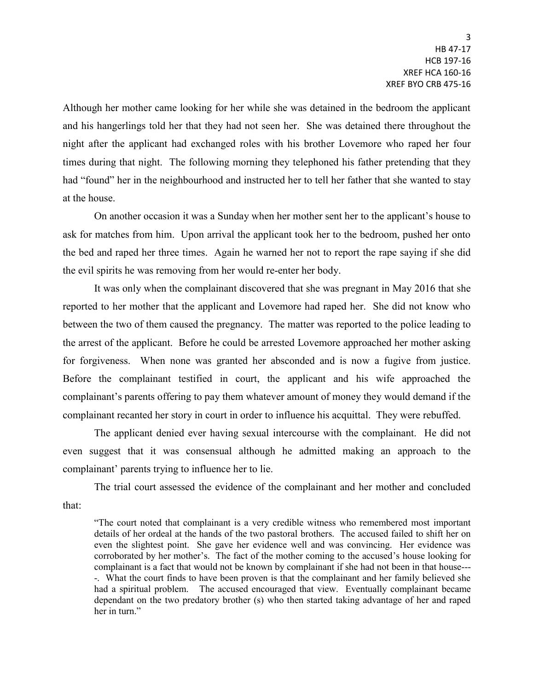Although her mother came looking for her while she was detained in the bedroom the applicant and his hangerlings told her that they had not seen her. She was detained there throughout the night after the applicant had exchanged roles with his brother Lovemore who raped her four times during that night. The following morning they telephoned his father pretending that they had "found" her in the neighbourhood and instructed her to tell her father that she wanted to stay at the house.

On another occasion it was a Sunday when her mother sent her to the applicant's house to ask for matches from him. Upon arrival the applicant took her to the bedroom, pushed her onto the bed and raped her three times. Again he warned her not to report the rape saying if she did the evil spirits he was removing from her would re-enter her body.

It was only when the complainant discovered that she was pregnant in May 2016 that she reported to her mother that the applicant and Lovemore had raped her. She did not know who between the two of them caused the pregnancy. The matter was reported to the police leading to the arrest of the applicant. Before he could be arrested Lovemore approached her mother asking for forgiveness. When none was granted her absconded and is now a fugive from justice. Before the complainant testified in court, the applicant and his wife approached the complainant's parents offering to pay them whatever amount of money they would demand if the complainant recanted her story in court in order to influence his acquittal. They were rebuffed.

The applicant denied ever having sexual intercourse with the complainant. He did not even suggest that it was consensual although he admitted making an approach to the complainant' parents trying to influence her to lie.

The trial court assessed the evidence of the complainant and her mother and concluded that:

"The court noted that complainant is a very credible witness who remembered most important details of her ordeal at the hands of the two pastoral brothers. The accused failed to shift her on even the slightest point. She gave her evidence well and was convincing. Her evidence was corroborated by her mother's. The fact of the mother coming to the accused's house looking for complainant is a fact that would not be known by complainant if she had not been in that house--- -. What the court finds to have been proven is that the complainant and her family believed she had a spiritual problem. The accused encouraged that view. Eventually complainant became dependant on the two predatory brother (s) who then started taking advantage of her and raped her in turn."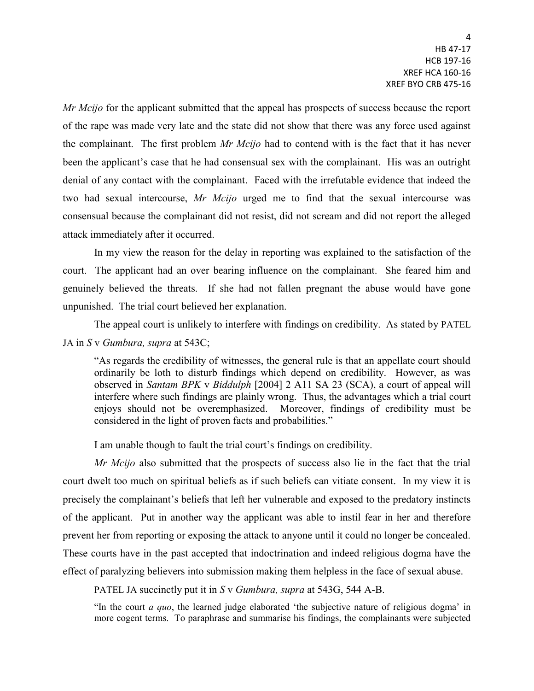*Mr Mcijo* for the applicant submitted that the appeal has prospects of success because the report of the rape was made very late and the state did not show that there was any force used against the complainant. The first problem *Mr Mcijo* had to contend with is the fact that it has never been the applicant's case that he had consensual sex with the complainant. His was an outright denial of any contact with the complainant. Faced with the irrefutable evidence that indeed the two had sexual intercourse, *Mr Mcijo* urged me to find that the sexual intercourse was consensual because the complainant did not resist, did not scream and did not report the alleged attack immediately after it occurred.

In my view the reason for the delay in reporting was explained to the satisfaction of the court. The applicant had an over bearing influence on the complainant. She feared him and genuinely believed the threats. If she had not fallen pregnant the abuse would have gone unpunished. The trial court believed her explanation.

The appeal court is unlikely to interfere with findings on credibility. As stated by PATEL JA in *S* v *Gumbura, supra* at 543C;

"As regards the credibility of witnesses, the general rule is that an appellate court should ordinarily be loth to disturb findings which depend on credibility. However, as was observed in *Santam BPK* v *Biddulph* [2004] 2 A11 SA 23 (SCA), a court of appeal will interfere where such findings are plainly wrong. Thus, the advantages which a trial court enjoys should not be overemphasized. Moreover, findings of credibility must be considered in the light of proven facts and probabilities."

I am unable though to fault the trial court's findings on credibility.

*Mr Mcijo* also submitted that the prospects of success also lie in the fact that the trial court dwelt too much on spiritual beliefs as if such beliefs can vitiate consent. In my view it is precisely the complainant's beliefs that left her vulnerable and exposed to the predatory instincts of the applicant. Put in another way the applicant was able to instil fear in her and therefore prevent her from reporting or exposing the attack to anyone until it could no longer be concealed. These courts have in the past accepted that indoctrination and indeed religious dogma have the effect of paralyzing believers into submission making them helpless in the face of sexual abuse.

PATEL JA succinctly put it in *S* v *Gumbura, supra* at 543G, 544 A-B.

"In the court *a quo*, the learned judge elaborated 'the subjective nature of religious dogma' in more cogent terms. To paraphrase and summarise his findings, the complainants were subjected